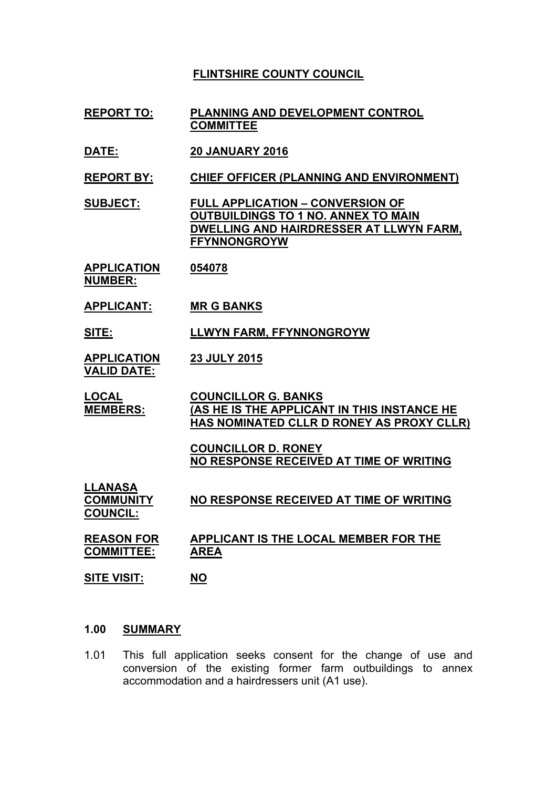# **FLINTSHIRE COUNTY COUNCIL**

- **REPORT TO: PLANNING AND DEVELOPMENT CONTROL COMMITTEE**
- **DATE: 20 JANUARY 2016**

**REPORT BY: CHIEF OFFICER (PLANNING AND ENVIRONMENT)**

**SUBJECT: FULL APPLICATION – CONVERSION OF OUTBUILDINGS TO 1 NO. ANNEX TO MAIN DWELLING AND HAIRDRESSER AT LLWYN FARM, FFYNNONGROYW**

**APPLICATION NUMBER: 054078**

- 
- **APPLICANT: MR G BANKS**

**SITE: LLWYN FARM, FFYNNONGROYW**

**APPLICATION VALID DATE: 23 JULY 2015**

**LOCAL MEMBERS: COUNCILLOR G. BANKS (AS HE IS THE APPLICANT IN THIS INSTANCE HE HAS NOMINATED CLLR D RONEY AS PROXY CLLR)**

> **COUNCILLOR D. RONEY NO RESPONSE RECEIVED AT TIME OF WRITING**

**LLANASA COMMUNITY COUNCIL: NO RESPONSE RECEIVED AT TIME OF WRITING**

**REASON FOR COMMITTEE: APPLICANT IS THE LOCAL MEMBER FOR THE AREA**

- **SITE VISIT: NO**
- **1.00 SUMMARY**
- 1.01 This full application seeks consent for the change of use and conversion of the existing former farm outbuildings to annex accommodation and a hairdressers unit (A1 use).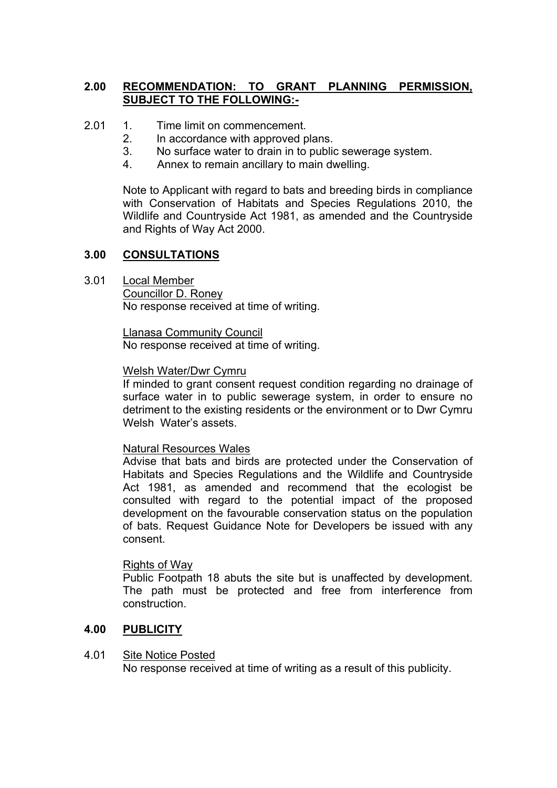# **2.00 RECOMMENDATION: TO GRANT PLANNING PERMISSION, SUBJECT TO THE FOLLOWING:-**

- 2.01 1. Time limit on commencement.
	- 2. In accordance with approved plans.
	- 3. No surface water to drain in to public sewerage system.
	- 4. Annex to remain ancillary to main dwelling.

Note to Applicant with regard to bats and breeding birds in compliance with Conservation of Habitats and Species Regulations 2010, the Wildlife and Countryside Act 1981, as amended and the Countryside and Rights of Way Act 2000.

## **3.00 CONSULTATIONS**

3.01 Local Member Councillor D. Roney No response received at time of writing.

> Llanasa Community Council No response received at time of writing.

### Welsh Water/Dwr Cymru

If minded to grant consent request condition regarding no drainage of surface water in to public sewerage system, in order to ensure no detriment to the existing residents or the environment or to Dwr Cymru Welsh Water's assets.

Natural Resources Wales

Advise that bats and birds are protected under the Conservation of Habitats and Species Regulations and the Wildlife and Countryside Act 1981, as amended and recommend that the ecologist be consulted with regard to the potential impact of the proposed development on the favourable conservation status on the population of bats. Request Guidance Note for Developers be issued with any consent.

## Rights of Way

Public Footpath 18 abuts the site but is unaffected by development. The path must be protected and free from interference from construction.

## **4.00 PUBLICITY**

#### 4.01 Site Notice Posted

No response received at time of writing as a result of this publicity.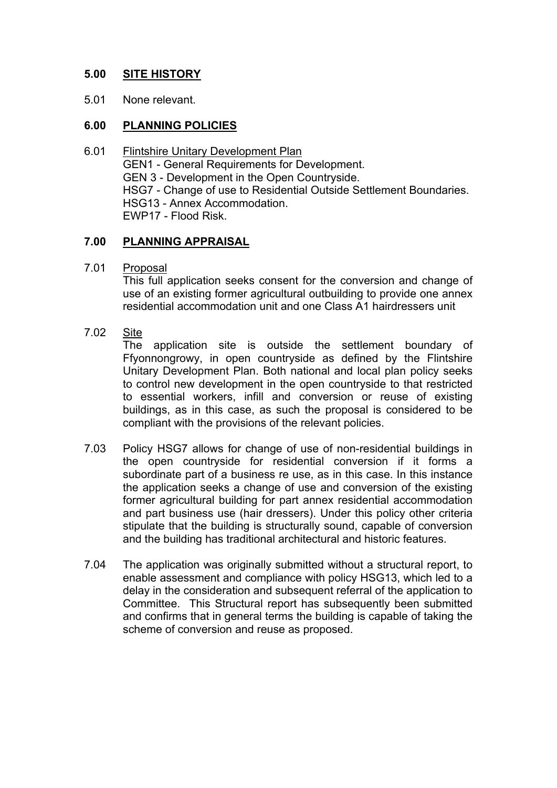# **5.00 SITE HISTORY**

5.01 None relevant.

## **6.00 PLANNING POLICIES**

6.01 Flintshire Unitary Development Plan GEN1 - General Requirements for Development. GEN 3 - Development in the Open Countryside. HSG7 - Change of use to Residential Outside Settlement Boundaries. HSG13 - Annex Accommodation. EWP17 - Flood Risk.

## **7.00 PLANNING APPRAISAL**

7.01 Proposal

This full application seeks consent for the conversion and change of use of an existing former agricultural outbuilding to provide one annex residential accommodation unit and one Class A1 hairdressers unit

7.02 Site

> The application site is outside the settlement boundary of Ffyonnongrowy, in open countryside as defined by the Flintshire Unitary Development Plan. Both national and local plan policy seeks to control new development in the open countryside to that restricted to essential workers, infill and conversion or reuse of existing buildings, as in this case, as such the proposal is considered to be compliant with the provisions of the relevant policies.

- 7.03 Policy HSG7 allows for change of use of non-residential buildings in the open countryside for residential conversion if it forms a subordinate part of a business re use, as in this case. In this instance the application seeks a change of use and conversion of the existing former agricultural building for part annex residential accommodation and part business use (hair dressers). Under this policy other criteria stipulate that the building is structurally sound, capable of conversion and the building has traditional architectural and historic features.
- 7.04 The application was originally submitted without a structural report, to enable assessment and compliance with policy HSG13, which led to a delay in the consideration and subsequent referral of the application to Committee. This Structural report has subsequently been submitted and confirms that in general terms the building is capable of taking the scheme of conversion and reuse as proposed.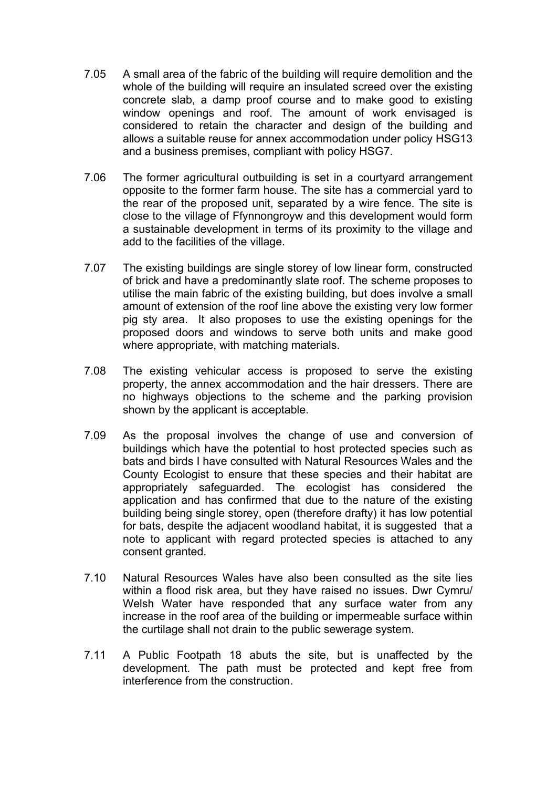- 7.05 A small area of the fabric of the building will require demolition and the whole of the building will require an insulated screed over the existing concrete slab, a damp proof course and to make good to existing window openings and roof. The amount of work envisaged is considered to retain the character and design of the building and allows a suitable reuse for annex accommodation under policy HSG13 and a business premises, compliant with policy HSG7.
- 7.06 The former agricultural outbuilding is set in a courtyard arrangement opposite to the former farm house. The site has a commercial yard to the rear of the proposed unit, separated by a wire fence. The site is close to the village of Ffynnongroyw and this development would form a sustainable development in terms of its proximity to the village and add to the facilities of the village.
- 7.07 The existing buildings are single storey of low linear form, constructed of brick and have a predominantly slate roof. The scheme proposes to utilise the main fabric of the existing building, but does involve a small amount of extension of the roof line above the existing very low former pig sty area. It also proposes to use the existing openings for the proposed doors and windows to serve both units and make good where appropriate, with matching materials.
- 7.08 The existing vehicular access is proposed to serve the existing property, the annex accommodation and the hair dressers. There are no highways objections to the scheme and the parking provision shown by the applicant is acceptable.
- 7.09 As the proposal involves the change of use and conversion of buildings which have the potential to host protected species such as bats and birds I have consulted with Natural Resources Wales and the County Ecologist to ensure that these species and their habitat are appropriately safeguarded. The ecologist has considered the application and has confirmed that due to the nature of the existing building being single storey, open (therefore drafty) it has low potential for bats, despite the adjacent woodland habitat, it is suggested that a note to applicant with regard protected species is attached to any consent granted.
- 7.10 Natural Resources Wales have also been consulted as the site lies within a flood risk area, but they have raised no issues. Dwr Cymru/ Welsh Water have responded that any surface water from any increase in the roof area of the building or impermeable surface within the curtilage shall not drain to the public sewerage system.
- 7.11 A Public Footpath 18 abuts the site, but is unaffected by the development. The path must be protected and kept free from interference from the construction.